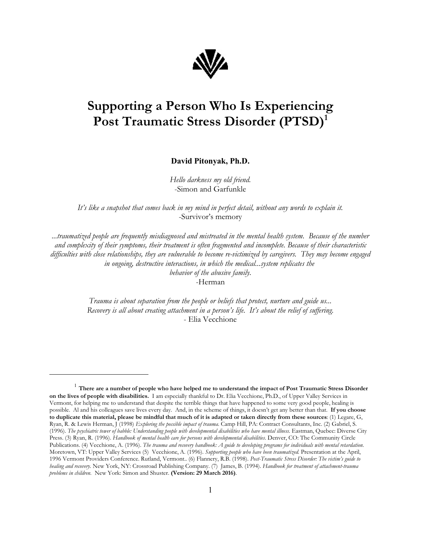

## **Supporting a Person Who Is Experiencing Post Traumatic Stress Disorder (PTSD)<sup>1</sup>**

**David Pitonyak, Ph.D.**

*Hello darkness my old friend.* -Simon and Garfunkle

*It's like a snapshot that comes back in my mind in perfect detail, without any words to explain it.* -Survivor's memory

*...traumatized people are frequently misdiagnosed and mistreated in the mental health system. Because of the number and complexity of their symptoms, their treatment is often fragmented and incomplete. Because of their characteristic difficulties with close relationships, they are vulnerable to become re-victimized by caregivers. They may become engaged in ongoing, destructive interactions, in which the medical...system replicates the behavior of the abusive family.* -Herman

> *Trauma is about separation from the people or beliefs that protect, nurture and guide us... Recovery is all about creating attachment in a person's life. It's about the relief of suffering.* - Elia Vecchione

<sup>1</sup> **There are a number of people who have helped me to understand the impact of Post Traumatic Stress Disorder on the lives of people with disabilities.** I am especially thankful to Dr. Elia Vecchione, Ph.D., of Upper Valley Services in Vermont, for helping me to understand that despite the terrible things that have happened to some very good people, healing is possible. Al and his colleagues save lives every day. And, in the scheme of things, it doesn't get any better than that. **If you choose to duplicate this material, please be mindful that much of it is adapted or taken directly from these sources**: (1) Legare, G, Ryan, R. & Lewis Herman, J (1998) *Exploring the possible impact of trauma*. Camp Hill, PA: Contract Consultants, Inc. (2) Gabriel, S. (1996). *The psychiatric tower of babble: Understanding people with developmental disabilities who have mental illness.* Eastman, Quebec: Diverse City Press. (3) Ryan, R. (1996). *Handbook of mental health care for persons with developmental disabilities*. Denver, CO: The Community Circle Publications. (4) Vecchione, A. (1996). *The trauma and recovery handbook: A guide to developing programs for individuals with mental retardation*. Moretown, VT: Upper Valley Services (5) Vecchione, A. (1996). *Supporting people who have been traumatized.* Presentation at the April, 1996 Vermont Providers Conference. Rutland, Vermont.. (6) Flannery, R.B. (1998). *Post-Traumatic Stress Disorder: The victim's guide to healing and recovery.* New York, NY: Crossroad Publishing Company. (7) James, B. (1994). *Handbook for treatment of attachment-trauma problems in children.* New York: Simon and Shuster. **(Version: 29 March 2016)**.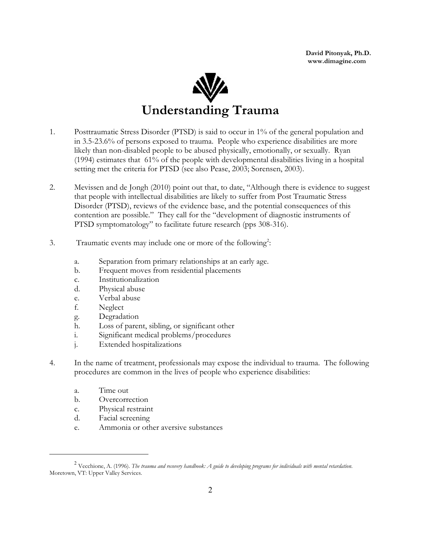**David Pitonyak, Ph.D. www.dimagine.com**



- 1. Posttraumatic Stress Disorder (PTSD) is said to occur in 1% of the general population and in 3.5-23.6% of persons exposed to trauma. People who experience disabilities are more likely than non-disabled people to be abused physically, emotionally, or sexually. Ryan (1994) estimates that 61% of the people with developmental disabilities living in a hospital setting met the criteria for PTSD (see also Pease, 2003; Sorensen, 2003).
- 2. Mevissen and de Jongh (2010) point out that, to date, "Although there is evidence to suggest that people with intellectual disabilities are likely to suffer from Post Traumatic Stress Disorder (PTSD), reviews of the evidence base, and the potential consequences of this contention are possible." They call for the "development of diagnostic instruments of PTSD symptomatology" to facilitate future research (pps 308-316).
- 3. Traumatic events may include one or more of the following<sup>2</sup>:
	- a. Separation from primary relationships at an early age.
	- b. Frequent moves from residential placements
	- c. Institutionalization
	- d. Physical abuse
	- e. Verbal abuse
	- f. Neglect
	- g. Degradation
	- h. Loss of parent, sibling, or significant other
	- i. Significant medical problems/procedures
	- j. Extended hospitalizations
- 4. In the name of treatment, professionals may expose the individual to trauma. The following procedures are common in the lives of people who experience disabilities:
	- a. Time out
	- b. Overcorrection
	- c. Physical restraint
	- d. Facial screening
	- e. Ammonia or other aversive substances

<sup>2</sup> Vecchione, A. (1996). *The trauma and recovery handbook: A guide to developing programs for individuals with mental retardation*. Moretown, VT: Upper Valley Services.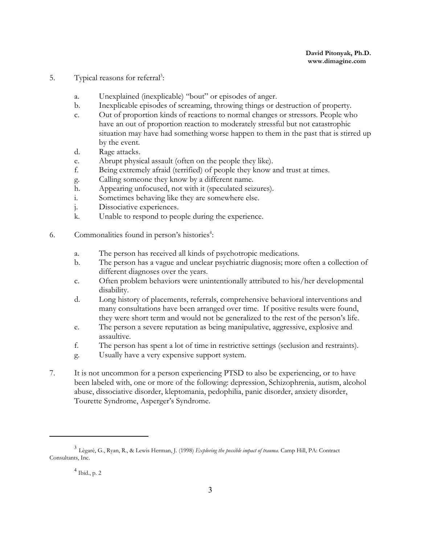- 5. Typical reasons for referral<sup>3</sup>:
	- a. Unexplained (inexplicable) "bout" or episodes of anger.
	- b. Inexplicable episodes of screaming, throwing things or destruction of property.
	- c. Out of proportion kinds of reactions to normal changes or stressors. People who have an out of proportion reaction to moderately stressful but not catastrophic situation may have had something worse happen to them in the past that is stirred up by the event.
	- d. Rage attacks.
	- e. Abrupt physical assault (often on the people they like).<br>
	f. Being extremely afraid (terrified) of people they know a
	- Being extremely afraid (terrified) of people they know and trust at times.
	- g. Calling someone they know by a different name.
	- h. Appearing unfocused, not with it (speculated seizures).
	- i. Sometimes behaving like they are somewhere else.
	- j. Dissociative experiences.
	- k. Unable to respond to people during the experience.
- 6. Commonalities found in person's histories<sup>4</sup>:
	- a. The person has received all kinds of psychotropic medications.
	- b. The person has a vague and unclear psychiatric diagnosis; more often a collection of different diagnoses over the years.
	- c. Often problem behaviors were unintentionally attributed to his/her developmental disability.
	- d. Long history of placements, referrals, comprehensive behavioral interventions and many consultations have been arranged over time. If positive results were found, they were short term and would not be generalized to the rest of the person's life.
	- e. The person a severe reputation as being manipulative, aggressive, explosive and assaultive.
	- f. The person has spent a lot of time in restrictive settings (seclusion and restraints).
	- g. Usually have a very expensive support system.
- 7. It is not uncommon for a person experiencing PTSD to also be experiencing, or to have been labeled with, one or more of the following: depression, Schizophrenia, autism, alcohol abuse, dissociative disorder, kleptomania, pedophilia, panic disorder, anxiety disorder, Tourette Syndrome, Asperger's Syndrome.

<sup>3</sup> Lègarè, G., Ryan, R., & Lewis Herman, J. (1998) *Exploring the possible impact of trauma*. Camp Hill, PA: Contract Consultants, Inc.

<sup>4</sup> Ibid., p. 2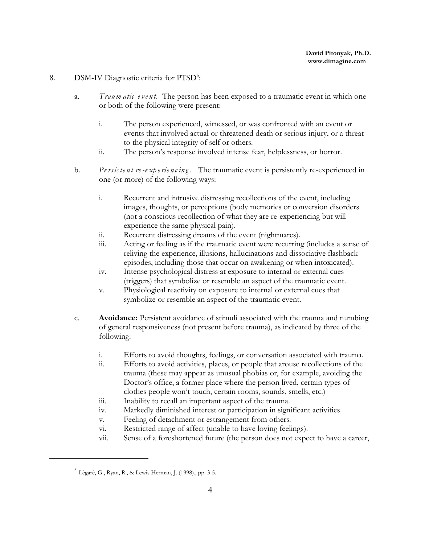#### 8. DSM-IV Diagnostic criteria for PTSD<sup>5</sup>:

- a. *Traum atic e ve n t.* The person has been exposed to a traumatic event in which one or both of the following were present:
	- i. The person experienced, witnessed, or was confronted with an event or events that involved actual or threatened death or serious injury, or a threat to the physical integrity of self or others.
	- ii. The person's response involved intense fear, helplessness, or horror.
- b. *Pe rsiste n t re -e xp e rie n c in g .* The traumatic event is persistently re-experienced in one (or more) of the following ways:
	- i. Recurrent and intrusive distressing recollections of the event, including images, thoughts, or perceptions (body memories or conversion disorders (not a conscious recollection of what they are re-experiencing but will experience the same physical pain).
	- ii. Recurrent distressing dreams of the event (nightmares).
	- iii. Acting or feeling as if the traumatic event were recurring (includes a sense of reliving the experience, illusions, hallucinations and dissociative flashback episodes, including those that occur on awakening or when intoxicated).
	- iv. Intense psychological distress at exposure to internal or external cues (triggers) that symbolize or resemble an aspect of the traumatic event.
	- v. Physiological reactivity on exposure to internal or external cues that symbolize or resemble an aspect of the traumatic event.
- c. **Avoidance:** Persistent avoidance of stimuli associated with the trauma and numbing of general responsiveness (not present before trauma), as indicated by three of the following:
	- i. Efforts to avoid thoughts, feelings, or conversation associated with trauma.
	- ii. Efforts to avoid activities, places, or people that arouse recollections of the trauma (these may appear as unusual phobias or, for example, avoiding the Doctor's office, a former place where the person lived, certain types of clothes people won't touch, certain rooms, sounds, smells, etc.)
	- iii. Inability to recall an important aspect of the trauma.
	- iv. Markedly diminished interest or participation in significant activities.
	- v. Feeling of detachment or estrangement from others.
	- vi. Restricted range of affect (unable to have loving feelings).
	- vii. Sense of a foreshortened future (the person does not expect to have a career,

<sup>5</sup> Lègarè, G., Ryan, R., & Lewis Herman, J. (1998)., pp. 3-5.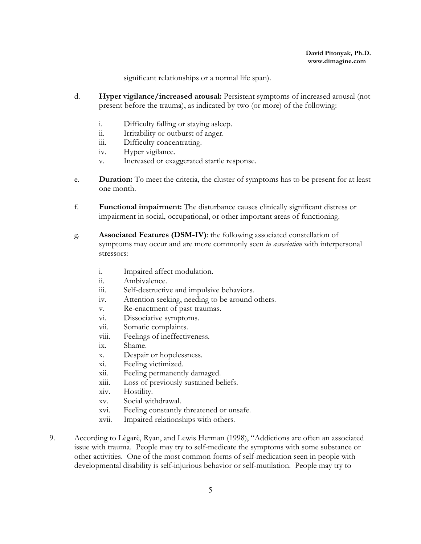significant relationships or a normal life span).

- d. **Hyper vigilance/increased arousal:** Persistent symptoms of increased arousal (not present before the trauma), as indicated by two (or more) of the following:
	- i. Difficulty falling or staying asleep.
	- ii. Irritability or outburst of anger.
	- iii. Difficulty concentrating.
	- iv. Hyper vigilance.
	- v. Increased or exaggerated startle response.
- e. **Duration:** To meet the criteria, the cluster of symptoms has to be present for at least one month.
- f. **Functional impairment:** The disturbance causes clinically significant distress or impairment in social, occupational, or other important areas of functioning.
- g. **Associated Features (DSM-IV)**: the following associated constellation of symptoms may occur and are more commonly seen *in association* with interpersonal stressors:
	- i. Impaired affect modulation.
	- ii. Ambivalence.
	- iii. Self-destructive and impulsive behaviors.
	- iv. Attention seeking, needing to be around others.
	- v. Re-enactment of past traumas.
	- vi. Dissociative symptoms.
	- vii. Somatic complaints.
	- viii. Feelings of ineffectiveness.
	- ix. Shame.
	- x. Despair or hopelessness.
	- xi. Feeling victimized.
	- xii. Feeling permanently damaged.
	- xiii. Loss of previously sustained beliefs.
	- xiv. Hostility.
	- xv. Social withdrawal.
	- xvi. Feeling constantly threatened or unsafe.
	- xvii. Impaired relationships with others.
- 9. According to Lègarè, Ryan, and Lewis Herman (1998), "Addictions are often an associated issue with trauma. People may try to self-medicate the symptoms with some substance or other activities. One of the most common forms of self-medication seen in people with developmental disability is self-injurious behavior or self-mutilation. People may try to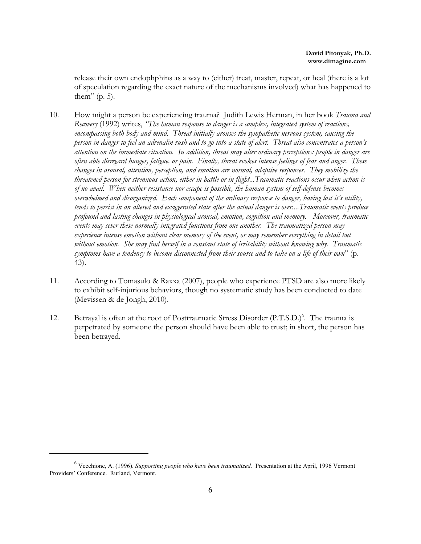release their own endophphins as a way to (either) treat, master, repeat, or heal (there is a lot of speculation regarding the exact nature of the mechanisms involved) what has happened to them" (p. 5).

- 10. How might a person be experiencing trauma? Judith Lewis Herman, in her book *Trauma and Recovery* (1992) writes, *"The human response to danger is a complex, integrated system of reactions, encompassing both body and mind. Threat initially arouses the sympathetic nervous system, causing the person in danger to feel an adrenalin rush and to go into a state of alert. Threat also concentrates a person's attention on the immediate situation. In addition, threat may alter ordinary perceptions: people in danger are often able disregard hunger, fatigue, or pain. Finally, threat evokes intense feelings of fear and anger. These changes in arousal, attention, perception, and emotion are normal, adaptive responses. They mobilize the threatened person for strenuous action, either in battle or in flight...Traumatic reactions occur when action is of no avail. When neither resistance nor escape is possible, the human system of self-defense becomes overwhelmed and disorganized. Each component of the ordinary response to danger, having lost it's utility, tends to persist in an altered and exaggerated state after the actual danger is over....Traumatic events produce profound and lasting changes in physiological arousal, emotion, cognition and memory. Moreover, traumatic events may sever these normally integrated functions from one another. The traumatized person may experience intense emotion without clear memory of the event, or may remember everything in detail but without emotion. She may find herself in a constant state of irritability without knowing why. Traumatic symptoms have a tendency to become disconnected from their source and to take on a life of their own*" (p. 43).
- 11. According to Tomasulo & Raxxa (2007), people who experience PTSD are also more likely to exhibit self-injurious behaviors, though no systematic study has been conducted to date (Mevissen & de Jongh, 2010).
- 12. Betrayal is often at the root of Posttraumatic Stress Disorder (P.T.S.D.)<sup>6</sup>. The trauma is perpetrated by someone the person should have been able to trust; in short, the person has been betrayed.

<sup>6</sup> Vecchione, A. (1996). *Supporting people who have been traumatized.* Presentation at the April, 1996 Vermont Providers' Conference. Rutland, Vermont.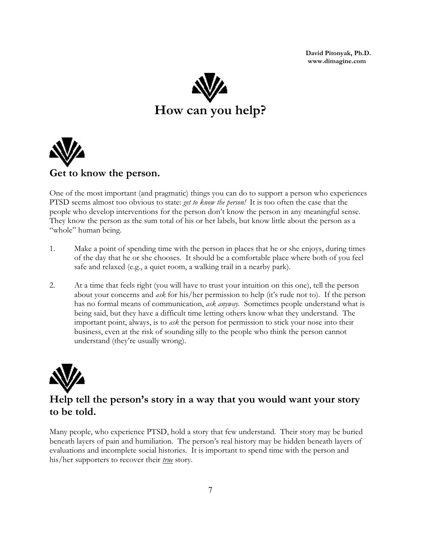**David Pitonyak, Ph.D. www.dimagine.com**





One of the most important (and pragmatic) things you can do to support a person who experiences PTSD seems almost too obvious to state: *get to know the person!* It is too often the case that the people who develop interventions for the person don't know the person in any meaningful sense. They know the person as the sum total of his or her labels, but know little about the person as a "whole" human being.

- 1. Make a point of spending time with the person in places that he or she enjoys, during times of the day that he or she chooses. It should be a comfortable place where both of you feel safe and relaxed (e.g., a quiet room, a walking trail in a nearby park).
- 2. At a time that feels right (you will have to trust your intuition on this one), tell the person about your concerns and *ask* for his/her permission to help (it's rude not to). If the person has no formal means of communication, *ask anyway.* Sometimes people understand what is being said, but they have a difficult time letting others know what they understand. The important point, always, is to *ask* the person for permission to stick your nose into their business, even at the risk of sounding silly to the people who think the person cannot understand (they're usually wrong).



## **Help tell the person's story in a way that you would want your story to be told.**

Many people, who experience PTSD, hold a story that few understand. Their story may be buried beneath layers of pain and humiliation. The person's real history may be hidden beneath layers of evaluations and incomplete social histories. It is important to spend time with the person and his/her supporters to recover their *true* story.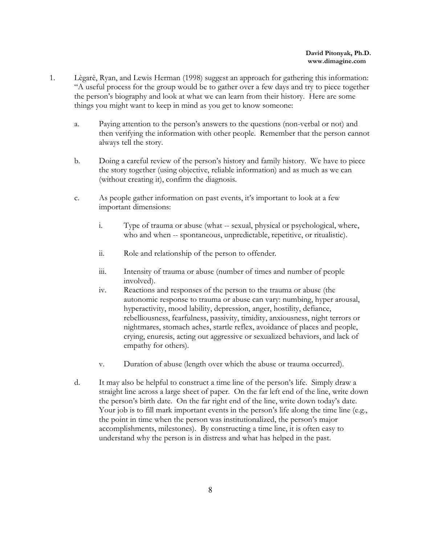- 1. Lègarè, Ryan, and Lewis Herman (1998) suggest an approach for gathering this information: "A useful process for the group would be to gather over a few days and try to piece together the person's biography and look at what we can learn from their history. Here are some things you might want to keep in mind as you get to know someone:
	- a. Paying attention to the person's answers to the questions (non-verbal or not) and then verifying the information with other people. Remember that the person cannot always tell the story.
	- b. Doing a careful review of the person's history and family history. We have to piece the story together (using objective, reliable information) and as much as we can (without creating it), confirm the diagnosis.
	- c. As people gather information on past events, it's important to look at a few important dimensions:
		- i. Type of trauma or abuse (what -- sexual, physical or psychological, where, who and when -- spontaneous, unpredictable, repetitive, or ritualistic).
		- ii. Role and relationship of the person to offender*.*
		- iii. Intensity of trauma or abuse (number of times and number of people involved).
		- iv. Reactions and responses of the person to the trauma or abuse (the autonomic response to trauma or abuse can vary: numbing, hyper arousal, hyperactivity, mood lability, depression, anger, hostility, defiance, rebelliousness, fearfulness, passivity, timidity, anxiousness, night terrors or nightmares, stomach aches, startle reflex, avoidance of places and people, crying, enuresis, acting out aggressive or sexualized behaviors, and lack of empathy for others).
		- v. Duration of abuse (length over which the abuse or trauma occurred).
	- d. It may also be helpful to construct a time line of the person's life. Simply draw a straight line across a large sheet of paper. On the far left end of the line, write down the person's birth date. On the far right end of the line, write down today's date. Your job is to fill mark important events in the person's life along the time line (e.g., the point in time when the person was institutionalized, the person's major accomplishments, milestones). By constructing a time line, it is often easy to understand why the person is in distress and what has helped in the past.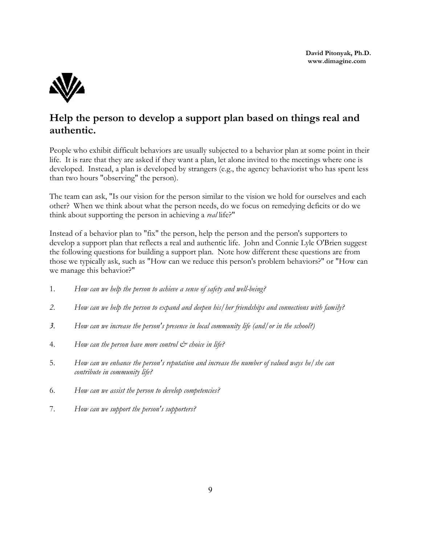

## **Help the person to develop a support plan based on things real and authentic.**

People who exhibit difficult behaviors are usually subjected to a behavior plan at some point in their life. It is rare that they are asked if they want a plan, let alone invited to the meetings where one is developed. Instead, a plan is developed by strangers (e.g., the agency behaviorist who has spent less than two hours "observing" the person).

The team can ask, "Is our vision for the person similar to the vision we hold for ourselves and each other? When we think about what the person needs, do we focus on remedying deficits or do we think about supporting the person in achieving a *real* life?"

Instead of a behavior plan to "fix" the person, help the person and the person's supporters to develop a support plan that reflects a real and authentic life. John and Connie Lyle O'Brien suggest the following questions for building a support plan. Note how different these questions are from those we typically ask, such as "How can we reduce this person's problem behaviors?" or "How can we manage this behavior?"

- 1. *How can we help the person to achieve a sense of safety and well-being?*
- *2. How can we help the person to expand and deepen his/her friendships and connections with family?*
- *3. How can we increase the person's presence in local community life (and/or in the school?)*
- 4. *How can the person have more control & choice in life?*
- 5. *How can we enhance the person's reputation and increase the number of valued ways he/she can contribute in community life?*
- 6. *How can we assist the person to develop competencies?*
- 7. *How can we support the person's supporters?*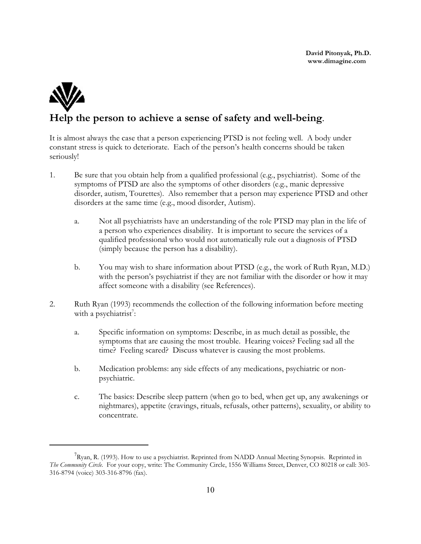

## **Help the person to achieve a sense of safety and well-being**.

It is almost always the case that a person experiencing PTSD is not feeling well. A body under constant stress is quick to deteriorate. Each of the person's health concerns should be taken seriously!

- 1. Be sure that you obtain help from a qualified professional (e.g., psychiatrist). Some of the symptoms of PTSD are also the symptoms of other disorders (e.g., manic depressive disorder, autism, Tourettes). Also remember that a person may experience PTSD and other disorders at the same time (e.g., mood disorder, Autism).
	- a. Not all psychiatrists have an understanding of the role PTSD may plan in the life of a person who experiences disability. It is important to secure the services of a qualified professional who would not automatically rule out a diagnosis of PTSD (simply because the person has a disability).
	- b. You may wish to share information about PTSD (e.g., the work of Ruth Ryan, M.D.) with the person's psychiatrist if they are not familiar with the disorder or how it may affect someone with a disability (see References).
- 2. Ruth Ryan (1993) recommends the collection of the following information before meeting with a psychiatrist<sup>7</sup>:
	- a. Specific information on symptoms: Describe, in as much detail as possible, the symptoms that are causing the most trouble. Hearing voices? Feeling sad all the time? Feeling scared? Discuss whatever is causing the most problems.
	- b. Medication problems: any side effects of any medications, psychiatric or nonpsychiatric.
	- c. The basics: Describe sleep pattern (when go to bed, when get up, any awakenings or nightmares), appetite (cravings, rituals, refusals, other patterns), sexuality, or ability to concentrate.

 $^7$ Ryan, R. (1993). How to use a psychiatrist. Reprinted from NADD Annual Meeting Synopsis. Reprinted in *The Community Circle.* For your copy, write: The Community Circle, 1556 Williams Street, Denver, CO 80218 or call: 303- 316-8794 (voice) 303-316-8796 (fax).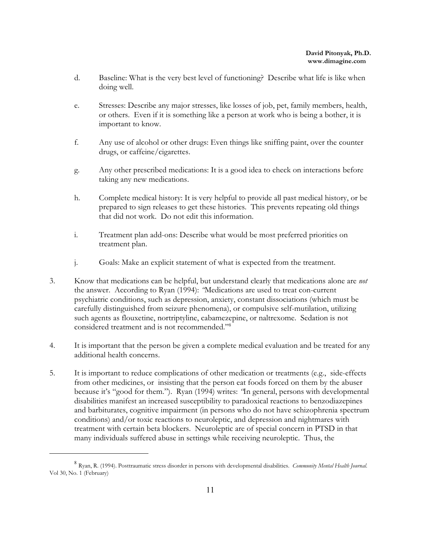- d. Baseline: What is the very best level of functioning? Describe what life is like when doing well.
- e. Stresses: Describe any major stresses, like losses of job, pet, family members, health, or others. Even if it is something like a person at work who is being a bother, it is important to know.
- f. Any use of alcohol or other drugs: Even things like sniffing paint, over the counter drugs, or caffeine/cigarettes.
- g. Any other prescribed medications: It is a good idea to check on interactions before taking any new medications.
- h. Complete medical history: It is very helpful to provide all past medical history, or be prepared to sign releases to get these histories. This prevents repeating old things that did not work. Do not edit this information.
- i. Treatment plan add-ons: Describe what would be most preferred priorities on treatment plan.
- j. Goals: Make an explicit statement of what is expected from the treatment.
- 3. Know that medications can be helpful, but understand clearly that medications alone are *not* the answer. According to Ryan (1994): *"*Medications are used to treat con-current psychiatric conditions, such as depression, anxiety, constant dissociations (which must be carefully distinguished from seizure phenomena), or compulsive self-mutilation, utilizing such agents as flouxetine, nortriptyline, cabamezepine, or naltrexome. Sedation is not considered treatment and is not recommended."<sup>8</sup>
- 4. It is important that the person be given a complete medical evaluation and be treated for any additional health concerns.
- 5. It is important to reduce complications of other medication or treatments (e.g., side-effects from other medicines, or insisting that the person eat foods forced on them by the abuser because it's "good for them."). Ryan (1994) writes: *"*In general, persons with developmental disabilities manifest an increased susceptibility to paradoxical reactions to benzodiazepines and barbiturates, cognitive impairment (in persons who do not have schizophrenia spectrum conditions) and/or toxic reactions to neuroleptic, and depression and nightmares with treatment with certain beta blockers. Neuroleptic are of special concern in PTSD in that many individuals suffered abuse in settings while receiving neuroleptic. Thus, the

<sup>8</sup> Ryan, R. (1994). Posttraumatic stress disorder in persons with developmental disabilities. *Community Mental Health Journal*. Vol 30, No. 1 (February)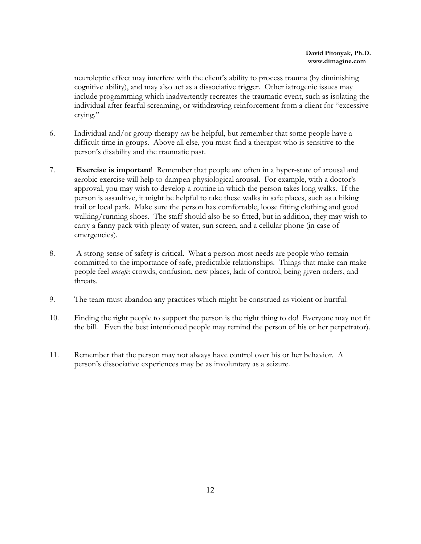neuroleptic effect may interfere with the client's ability to process trauma (by diminishing cognitive ability), and may also act as a dissociative trigger. Other iatrogenic issues may include programming which inadvertently recreates the traumatic event, such as isolating the individual after fearful screaming, or withdrawing reinforcement from a client for "excessive crying."

- 6. Individual and/or group therapy *can* be helpful, but remember that some people have a difficult time in groups. Above all else, you must find a therapist who is sensitive to the person's disability and the traumatic past.
- 7. **Exercise is important**! Remember that people are often in a hyper-state of arousal and aerobic exercise will help to dampen physiological arousal. For example, with a doctor's approval, you may wish to develop a routine in which the person takes long walks. If the person is assaultive, it might be helpful to take these walks in safe places, such as a hiking trail or local park. Make sure the person has comfortable, loose fitting clothing and good walking/running shoes. The staff should also be so fitted, but in addition, they may wish to carry a fanny pack with plenty of water, sun screen, and a cellular phone (in case of emergencies).
- 8. A strong sense of safety is critical. What a person most needs are people who remain committed to the importance of safe, predictable relationships. Things that make can make people feel *unsafe*: crowds, confusion, new places, lack of control, being given orders, and threats.
- 9. The team must abandon any practices which might be construed as violent or hurtful.
- 10. Finding the right people to support the person is the right thing to do! Everyone may not fit the bill. Even the best intentioned people may remind the person of his or her perpetrator).
- 11. Remember that the person may not always have control over his or her behavior. A person's dissociative experiences may be as involuntary as a seizure.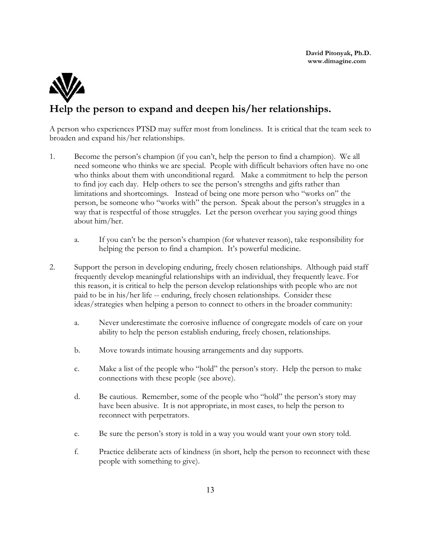## **Help the person to expand and deepen his/her relationships.**

A person who experiences PTSD may suffer most from loneliness. It is critical that the team seek to broaden and expand his/her relationships.

- 1. Become the person's champion (if you can't, help the person to find a champion). We all need someone who thinks we are special. People with difficult behaviors often have no one who thinks about them with unconditional regard. Make a commitment to help the person to find joy each day. Help others to see the person's strengths and gifts rather than limitations and shortcomings. Instead of being one more person who "works on" the person, be someone who "works with" the person. Speak about the person's struggles in a way that is respectful of those struggles. Let the person overhear you saying good things about him/her.
	- a. If you can't be the person's champion (for whatever reason), take responsibility for helping the person to find a champion. It's powerful medicine.
- 2. Support the person in developing enduring, freely chosen relationships. Although paid staff frequently develop meaningful relationships with an individual, they frequently leave. For this reason, it is critical to help the person develop relationships with people who are not paid to be in his/her life -- enduring, freely chosen relationships. Consider these ideas/strategies when helping a person to connect to others in the broader community:
	- a. Never underestimate the corrosive influence of congregate models of care on your ability to help the person establish enduring, freely chosen, relationships.
	- b. Move towards intimate housing arrangements and day supports.
	- c. Make a list of the people who "hold" the person's story. Help the person to make connections with these people (see above).
	- d. Be cautious. Remember, some of the people who "hold" the person's story may have been abusive. It is not appropriate, in most cases, to help the person to reconnect with perpetrators.
	- e. Be sure the person's story is told in a way you would want your own story told.
	- f. Practice deliberate acts of kindness (in short, help the person to reconnect with these people with something to give).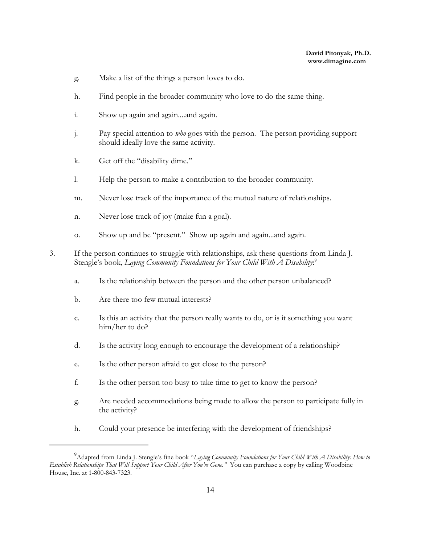- g. Make a list of the things a person loves to do.
- h. Find people in the broader community who love to do the same thing.
- i. Show up again and again....and again.
- j. Pay special attention to *who* goes with the person. The person providing support should ideally love the same activity.
- k. Get off the "disability dime."
- l. Help the person to make a contribution to the broader community.
- m. Never lose track of the importance of the mutual nature of relationships.
- n. Never lose track of joy (make fun a goal).
- o. Show up and be "present." Show up again and again...and again.
- 3. If the person continues to struggle with relationships, ask these questions from Linda J. Stengle's book, *Laying Community Foundations for Your Child With A Disability*: 9
	- a. Is the relationship between the person and the other person unbalanced?
	- b. Are there too few mutual interests?
	- c. Is this an activity that the person really wants to do, or is it something you want him/her to do?
	- d. Is the activity long enough to encourage the development of a relationship?
	- e. Is the other person afraid to get close to the person?
	- f. Is the other person too busy to take time to get to know the person?
	- g. Are needed accommodations being made to allow the person to participate fully in the activity?
	- h. Could your presence be interfering with the development of friendships?

<sup>9</sup>Adapted from Linda J. Stengle's fine book "*Laying Community Foundations for Your Child With A Disability: How to Establish Relationships That Will Support Your Child After You're Gone."* You can purchase a copy by calling Woodbine House, Inc. at 1-800-843-7323.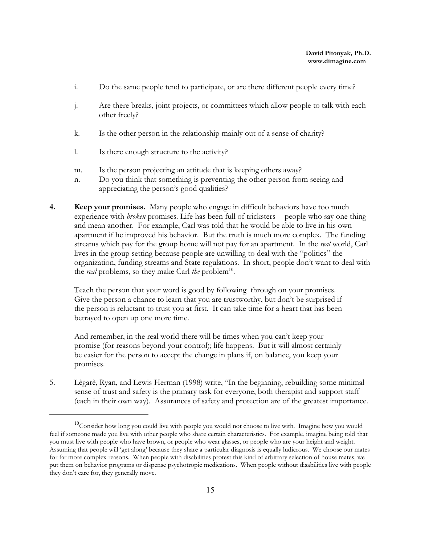- i. Do the same people tend to participate, or are there different people every time?
- j. Are there breaks, joint projects, or committees which allow people to talk with each other freely?
- k. Is the other person in the relationship mainly out of a sense of charity?
- l. Is there enough structure to the activity?
- m. Is the person projecting an attitude that is keeping others away?
- n. Do you think that something is preventing the other person from seeing and appreciating the person's good qualities?
- **4. Keep your promises.** Many people who engage in difficult behaviors have too much experience with *broken* promises. Life has been full of tricksters -- people who say one thing and mean another. For example, Carl was told that he would be able to live in his own apartment if he improved his behavior. But the truth is much more complex. The funding streams which pay for the group home will not pay for an apartment. In the *real* world, Carl lives in the group setting because people are unwilling to deal with the "politics" the organization, funding streams and State regulations. In short, people don't want to deal with the *real* problems, so they make Carl *the* problem<sup>10</sup>.

Teach the person that your word is good by following through on your promises. Give the person a chance to learn that you are trustworthy, but don't be surprised if the person is reluctant to trust you at first. It can take time for a heart that has been betrayed to open up one more time.

And remember, in the real world there will be times when you can't keep your promise (for reasons beyond your control); life happens. But it will almost certainly be easier for the person to accept the change in plans if, on balance, you keep your promises.

5. Lègarè, Ryan, and Lewis Herman (1998) write, "In the beginning, rebuilding some minimal sense of trust and safety is the primary task for everyone, both therapist and support staff (each in their own way). Assurances of safety and protection are of the greatest importance.

<sup>&</sup>lt;sup>10</sup>Consider how long you could live with people you would not choose to live with. Imagine how you would feel if someone made you live with other people who share certain characteristics. For example, imagine being told that you must live with people who have brown, or people who wear glasses, or people who are your height and weight. Assuming that people will 'get along' because they share a particular diagnosis is equally ludicrous. We choose our mates for far more complex reasons. When people with disabilities protest this kind of arbitrary selection of house mates, we put them on behavior programs or dispense psychotropic medications. When people without disabilities live with people they don't care for, they generally move.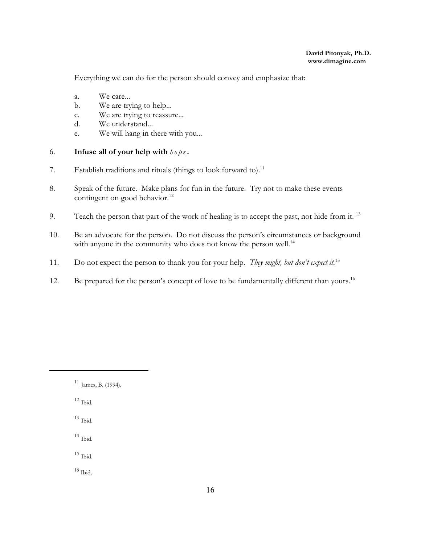Everything we can do for the person should convey and emphasize that:

- a. We care...
- b. We are trying to help...
- c. We are trying to reassure...
- d. We understand...
- e. We will hang in there with you...

#### 6. **Infuse all of your help with**  $h \circ p \circ \theta$ .

- 7. Establish traditions and rituals (things to look forward to).<sup>11</sup>
- 8. Speak of the future. Make plans for fun in the future. Try not to make these events contingent on good behavior.<sup>12</sup>
- 9. Teach the person that part of the work of healing is to accept the past, not hide from it.<sup>13</sup>
- 10. Be an advocate for the person. Do not discuss the person's circumstances or background with anyone in the community who does not know the person well.<sup>14</sup>
- 11. Do not expect the person to thank-you for your help. *They might, but don't expect it.*<sup>15</sup>
- 12. Be prepared for the person's concept of love to be fundamentally different than yours.<sup>16</sup>

- 12 Ibid.
- 13 Ibid.
- 14 Ibid.
- 15 Ibid.
- $^{16}$  Ibid.

<sup>11</sup> James, B. (1994).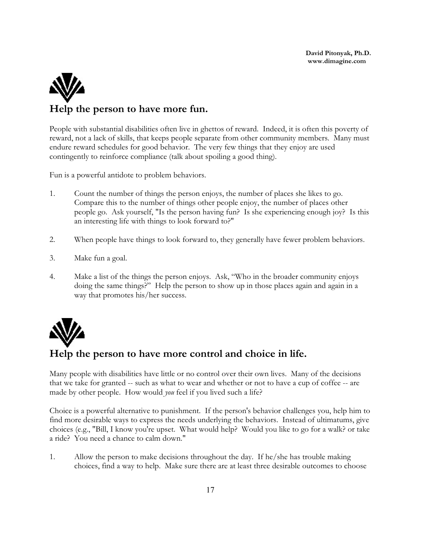# **Help the person to have more fun.**

People with substantial disabilities often live in ghettos of reward. Indeed, it is often this poverty of reward, not a lack of skills, that keeps people separate from other community members. Many must endure reward schedules for good behavior. The very few things that they enjoy are used contingently to reinforce compliance (talk about spoiling a good thing).

Fun is a powerful antidote to problem behaviors.

- 1. Count the number of things the person enjoys, the number of places she likes to go. Compare this to the number of things other people enjoy, the number of places other people go. Ask yourself, "Is the person having fun? Is she experiencing enough joy? Is this an interesting life with things to look forward to?"
- 2. When people have things to look forward to, they generally have fewer problem behaviors.
- 3. Make fun a goal.
- 4. Make a list of the things the person enjoys. Ask, "Who in the broader community enjoys doing the same things?" Help the person to show up in those places again and again in a way that promotes his/her success.



#### **Help the person to have more control and choice in life.**

Many people with disabilities have little or no control over their own lives. Many of the decisions that we take for granted -- such as what to wear and whether or not to have a cup of coffee -- are made by other people. How would *you* feel if you lived such a life?

Choice is a powerful alternative to punishment. If the person's behavior challenges you, help him to find more desirable ways to express the needs underlying the behaviors. Instead of ultimatums, give choices (e.g., "Bill, I know you're upset. What would help? Would you like to go for a walk? or take a ride? You need a chance to calm down."

1. Allow the person to make decisions throughout the day. If he/she has trouble making choices, find a way to help. Make sure there are at least three desirable outcomes to choose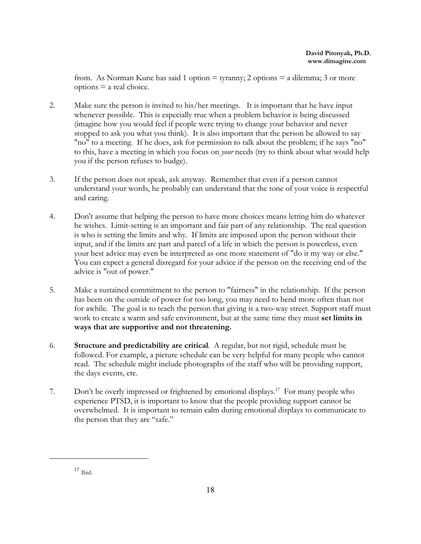from. As Norman Kunc has said 1 option = tyranny; 2 options = a dilemma; 3 or more options = a real choice.

- 2. Make sure the person is invited to his/her meetings. It is important that he have input whenever possible. This is especially true when a problem behavior is being discussed (imagine how you would feel if people were trying to change your behavior and never stopped to ask you what you think). It is also important that the person be allowed to say "no" to a meeting. If he does, ask for permission to talk about the problem; if he says "no" to this, have a meeting in which you focus on *your* needs (try to think about what would help you if the person refuses to budge).
- 3. If the person does not speak, ask anyway. Remember that even if a person cannot understand your words, he probably can understand that the tone of your voice is respectful and caring.
- 4. Don't assume that helping the person to have more choices means letting him do whatever he wishes. Limit-setting is an important and fair part of any relationship. The real question is who is setting the limits and why. If limits are imposed upon the person without their input, and if the limits are part and parcel of a life in which the person is powerless, even your best advice may even be interpreted as one more statement of "do it my way or else." You can expect a general disregard for your advice if the person on the receiving end of the advice is "out of power."
- 5. Make a sustained commitment to the person to "fairness" in the relationship. If the person has been on the outside of power for too long, you may need to bend more often than not for awhile. The goal is to teach the person that giving is a two-way street. Support staff must work to create a warm and safe environment, but at the same time they must **set limits in ways that are supportive and not threatening.**
- 6. **Structure and predictability are critical**. A regular, but not rigid, schedule must be followed. For example, a picture schedule can be very helpful for many people who cannot read. The schedule might include photographs of the staff who will be providing support, the days events, etc.
- 7. Don't be overly impressed or frightened by emotional displays. 17 For many people who experience PTSD, it is important to know that the people providing support cannot be overwhelmed. It is important to remain calm during emotional displays to communicate to the person that they are "safe."

<sup>17</sup> Ibid.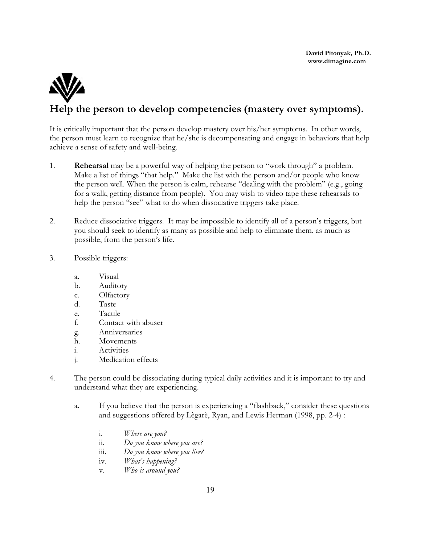

## **Help the person to develop competencies (mastery over symptoms).**

It is critically important that the person develop mastery over his/her symptoms. In other words, the person must learn to recognize that he/she is decompensating and engage in behaviors that help achieve a sense of safety and well-being.

- 1. **Rehearsal** may be a powerful way of helping the person to "work through" a problem. Make a list of things "that help." Make the list with the person and/or people who know the person well. When the person is calm, rehearse "dealing with the problem" (e.g., going for a walk, getting distance from people). You may wish to video tape these rehearsals to help the person "see" what to do when dissociative triggers take place.
- 2. Reduce dissociative triggers. It may be impossible to identify all of a person's triggers, but you should seek to identify as many as possible and help to eliminate them, as much as possible, from the person's life.
- 3. Possible triggers:
	- a. Visual
	- b. Auditory
	- c. Olfactory
	- d. Taste
	- e. Tactile
	- f. Contact with abuser
	- g. Anniversaries
	- h. Movements
	- i. Activities
	- j. Medication effects
- 4. The person could be dissociating during typical daily activities and it is important to try and understand what they are experiencing.
	- a. If you believe that the person is experiencing a "flashback," consider these questions and suggestions offered by Lègarè, Ryan, and Lewis Herman (1998, pp. 2-4) :
		- i. *Where are you?*
		- ii. *Do you know where you are?*
		- iii. *Do you know where you live?*
		- iv. *What's happening?*
		- v. *Who is around you?*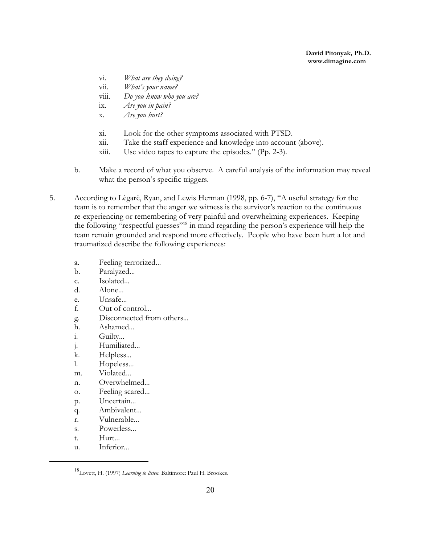- vi. *What are they doing?*
- vii. *What's your name?*
- viii. *Do you know who you are?*
- ix. *Are you in pain?*
- x. *Are you hurt?*
- xi. Look for the other symptoms associated with PTSD.
- xii. Take the staff experience and knowledge into account (above).
- xiii. Use video tapes to capture the episodes." (Pp. 2-3).
- b. Make a record of what you observe. A careful analysis of the information may reveal what the person's specific triggers.
- 5. According to Lègarè, Ryan, and Lewis Herman (1998, pp. 6-7), "A useful strategy for the team is to remember that the anger we witness is the survivor's reaction to the continuous re-experiencing or remembering of very painful and overwhelming experiences. Keeping the following "respectful guesses"<sup>18</sup> in mind regarding the person's experience will help the team remain grounded and respond more effectively. People who have been hurt a lot and traumatized describe the following experiences:
	- a. Feeling terrorized...
	- b. Paralyzed...
	- c. Isolated...
	- d. Alone...
	- e. Unsafe...
	- f. Out of control...
	- g. Disconnected from others...
	- h. Ashamed...
	- i. Guilty...
	- j. Humiliated...
	- k. Helpless...
	- l. Hopeless...
	- m. Violated...
	- n. Overwhelmed...
	- o. Feeling scared...
	- p. Uncertain...
	- q. Ambivalent...
	- r. Vulnerable...
	- s. Powerless...
	- t. Hurt...
	- u. Inferior...

<sup>18</sup> Lovett, H. (1997) *Learning to listen.* Baltimore: Paul H. Brookes.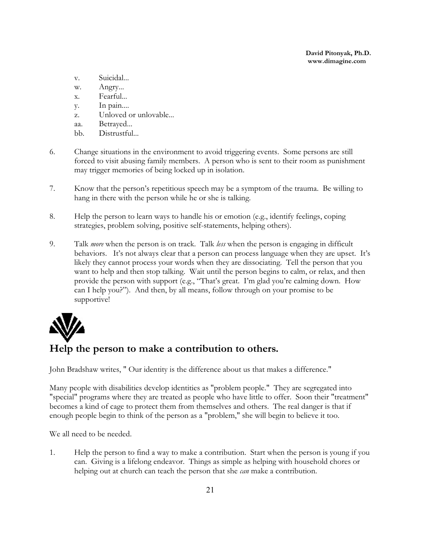- v. Suicidal...
- w. Angry...
- x. Fearful...
- y. In pain....
- z. Unloved or unlovable...
- aa. Betrayed...
- bb. Distrustful...
- 6. Change situations in the environment to avoid triggering events. Some persons are still forced to visit abusing family members. A person who is sent to their room as punishment may trigger memories of being locked up in isolation.
- 7. Know that the person's repetitious speech may be a symptom of the trauma. Be willing to hang in there with the person while he or she is talking.
- 8. Help the person to learn ways to handle his or emotion (e.g., identify feelings, coping strategies, problem solving, positive self-statements, helping others).
- 9. Talk *more* when the person is on track. Talk *less* when the person is engaging in difficult behaviors. It's not always clear that a person can process language when they are upset. It's likely they cannot process your words when they are dissociating. Tell the person that you want to help and then stop talking. Wait until the person begins to calm, or relax, and then provide the person with support (e.g., "That's great. I'm glad you're calming down. How can I help you?"). And then, by all means, follow through on your promise to be supportive!



## **Help the person to make a contribution to others.**

John Bradshaw writes, " Our identity is the difference about us that makes a difference."

Many people with disabilities develop identities as "problem people." They are segregated into "special" programs where they are treated as people who have little to offer. Soon their "treatment" becomes a kind of cage to protect them from themselves and others. The real danger is that if enough people begin to think of the person as a "problem," she will begin to believe it too.

We all need to be needed.

1. Help the person to find a way to make a contribution. Start when the person is young if you can. Giving is a lifelong endeavor. Things as simple as helping with household chores or helping out at church can teach the person that she *can* make a contribution.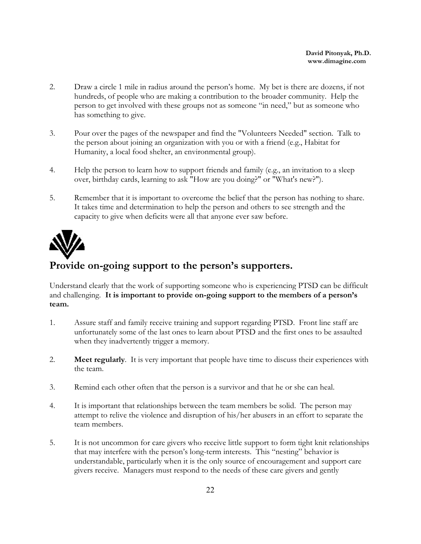- 2. Draw a circle 1 mile in radius around the person's home. My bet is there are dozens, if not hundreds, of people who are making a contribution to the broader community. Help the person to get involved with these groups not as someone "in need," but as someone who has something to give.
- 3. Pour over the pages of the newspaper and find the "Volunteers Needed" section. Talk to the person about joining an organization with you or with a friend (e.g., Habitat for Humanity, a local food shelter, an environmental group).
- 4. Help the person to learn how to support friends and family (e.g., an invitation to a sleep over, birthday cards, learning to ask "How are you doing?" or "What's new?").
- 5. Remember that it is important to overcome the belief that the person has nothing to share. It takes time and determination to help the person and others to see strength and the capacity to give when deficits were all that anyone ever saw before.



## **Provide on-going support to the person's supporters.**

Understand clearly that the work of supporting someone who is experiencing PTSD can be difficult and challenging. **It is important to provide on-going support to the members of a person's team.** 

- 1. Assure staff and family receive training and support regarding PTSD. Front line staff are unfortunately some of the last ones to learn about PTSD and the first ones to be assaulted when they inadvertently trigger a memory.
- 2. **Meet regularly**. It is very important that people have time to discuss their experiences with the team.
- 3. Remind each other often that the person is a survivor and that he or she can heal.
- 4. It is important that relationships between the team members be solid. The person may attempt to relive the violence and disruption of his/her abusers in an effort to separate the team members.
- 5. It is not uncommon for care givers who receive little support to form tight knit relationships that may interfere with the person's long-term interests. This "nesting" behavior is understandable, particularly when it is the only source of encouragement and support care givers receive. Managers must respond to the needs of these care givers and gently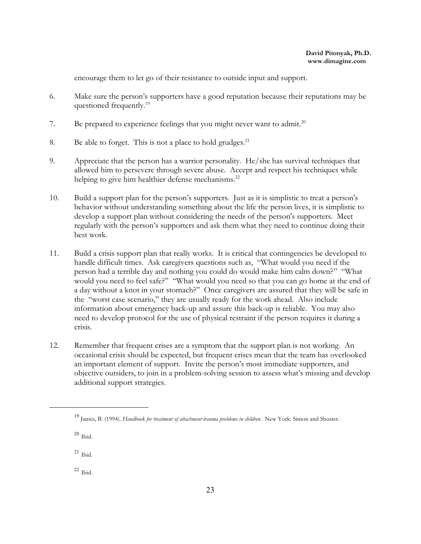encourage them to let go of their resistance to outside input and support.

- 6. Make sure the person's supporters have a good reputation because their reputations may be questioned frequently.<sup>19</sup>
- 7. Be prepared to experience feelings that you might never want to admit.<sup>20</sup>
- 8. Be able to forget. This is not a place to hold grudges.<sup>21</sup>
- 9. Appreciate that the person has a warrior personality. He/she has survival techniques that allowed him to persevere through severe abuse. Accept and respect his techniques while helping to give him healthier defense mechanisms.<sup>22</sup>
- 10. Build a support plan for the person's supporters. Just as it is simplistic to treat a person's behavior without understanding something about the life the person lives, it is simplistic to develop a support plan without considering the needs of the person's supporters. Meet regularly with the person's supporters and ask them what they need to continue doing their best work.
- 11. Build a crisis support plan that really works.It is critical that contingencies be developed to handle difficult times. Ask caregivers questions such as, "What would you need if the person had a terrible day and nothing you could do would make him calm down?" "What would you need to feel safe?" "What would you need so that you can go home at the end of a day without a knot in your stomach?" Once caregivers are assured that they will be safe in the "worst case scenario," they are usually ready for the work ahead. Also include information about emergency back-up and assure this back-up is reliable. You may also need to develop protocol for the use of physical restraint if the person requires it during a crisis.
- 12. Remember that frequent crises are a symptom that the support plan is not working. An occasional crisis should be expected, but frequent crises mean that the team has overlooked an important element of support. Invite the person's most immediate supporters, and objective outsiders, to join in a problem-solving session to assess what's missing and develop additional support strategies.

 $^{22}$  Ibid.

<sup>19</sup> James, B. (1994). *Handbook for treatment of attachment-trauma problems in children.* New York: Simon and Shuster.

 $^{20}$  Ibid.

 $^{21}$  Ibid.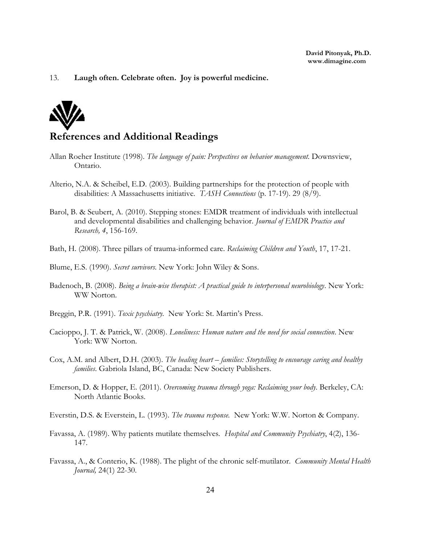#### 13. **Laugh often. Celebrate often. Joy is powerful medicine.**



#### **References and Additional Readings**

- Allan Roeher Institute (1998). *The language of pain: Perspectives on behavior management.* Downsview, Ontario.
- Alterio, N.A. & Scheibel, E.D. (2003). Building partnerships for the protection of people with disabilities: A Massachusetts initiative. *TASH Connections* (p. 17-19). 29 (8/9).
- Barol, B. & Seubert, A. (2010). Stepping stones: EMDR treatment of individuals with intellectual and developmental disabilities and challenging behavior. *Journal of EMDR Practice and Research, 4*, 156-169.
- Bath, H. (2008). Three pillars of trauma-informed care. *Reclaiming Children and Youth*, 17, 17-21.
- Blume, E.S. (1990). *Secret survivors.* New York: John Wiley & Sons.
- Badenoch, B. (2008). *Being a brain-wise therapist: A practical guide to interpersonal neurobiology*. New York: WW Norton.
- Breggin, P.R. (1991). *Toxic psychiatry.* New York: St. Martin's Press.
- Cacioppo, J. T. & Patrick, W. (2008). *Loneliness: Human nature and the need for social connection*. New York: WW Norton.
- Cox, A.M. and Albert, D.H. (2003). *The healing heart families: Storytelling to encourage caring and healthy families*. Gabriola Island, BC, Canada: New Society Publishers.
- Emerson, D. & Hopper, E. (2011). *Overcoming trauma through yoga: Reclaiming your body*. Berkeley, CA: North Atlantic Books.
- Everstin, D.S. & Everstein, L. (1993). *The trauma response.* New York: W.W. Norton & Company.
- Favassa, A. (1989). Why patients mutilate themselves*. Hospital and Community Psychiatry*, 4(2), 136- 147.
- Favassa, A., & Conterio, K. (1988). The plight of the chronic self-mutilator. *Community Mental Health Journal,* 24(1) 22-30.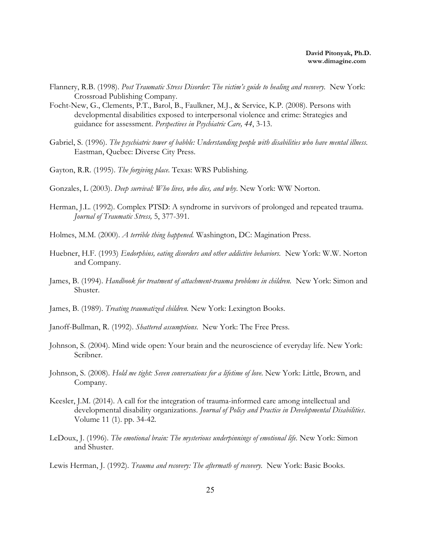- Flannery, R.B. (1998). *Post Traumatic Stress Disorder: The victim's guide to healing and recovery.* New York: Crossroad Publishing Company.
- Focht-New, G., Clements, P.T., Barol, B., Faulkner, M.J., & Service, K.P. (2008). Persons with developmental disabilities exposed to interpersonal violence and crime: Strategies and guidance for assessment. *Perspectives in Psychiatric Care, 44*, 3-13.
- Gabriel, S. (1996). *The psychiatric tower of babble: Understanding people with disabilities who have mental illness.* Eastman, Quebec: Diverse City Press.
- Gayton, R.R. (1995). *The forgiving place.* Texas: WRS Publishing.
- Gonzales, L (2003). *Deep survival: Who lives, who dies, and why*. New York: WW Norton.
- Herman, J.L. (1992). Complex PTSD: A syndrome in survivors of prolonged and repeated trauma. *Journal of Traumatic Stress,* 5, 377-391.
- Holmes, M.M. (2000). *A terrible thing happened.* Washington, DC: Magination Press.
- Huebner, H.F. (1993) *Endorphins, eating disorders and other addictive behaviors.* New York: W.W. Norton and Company.
- James, B. (1994). *Handbook for treatment of attachment-trauma problems in children.* New York: Simon and Shuster.
- James, B. (1989). *Treating traumatized children.* New York: Lexington Books.
- Janoff-Bullman, R. (1992). *Shattered assumptions.* New York: The Free Press.
- Johnson, S. (2004). Mind wide open: Your brain and the neuroscience of everyday life. New York: Scribner.
- Johnson, S. (2008). *Hold me tight: Seven conversations for a lifetime of love.* New York: Little, Brown, and Company.
- Keesler, J.M. (2014). A call for the integration of trauma-informed care among intellectual and developmental disability organizations. *Journal of Policy and Practice in Developmental Disabilities*. Volume 11 (1). pp. 34-42.
- LeDoux, J. (1996). *The emotional brain: The mysterious underpinnings of emotional life.* New York: Simon and Shuster.
- Lewis Herman, J. (1992). *Trauma and recovery: The aftermath of recovery.* New York: Basic Books.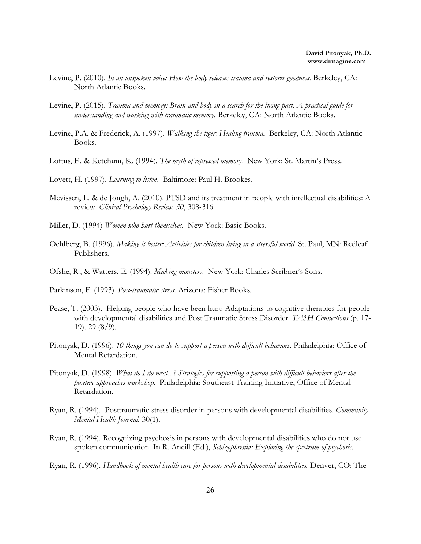- Levine, P. (2010). *In an unspoken voice: How the body releases trauma and restores goodness*. Berkeley, CA: North Atlantic Books.
- Levine, P. (2015). *Trauma and memory: Brain and body in a search for the living past. A practical guide for understanding and working with traumatic memory*. Berkeley, CA: North Atlantic Books.
- Levine, P.A. & Frederick, A. (1997). *Walking the tiger: Healing trauma.* Berkeley, CA: North Atlantic Books.
- Loftus, E. & Ketchum, K. (1994). *The myth of repressed memory.* New York: St. Martin's Press.
- Lovett, H. (1997). *Learning to listen*. Baltimore: Paul H. Brookes.
- Mevissen, L. & de Jongh, A. (2010). PTSD and its treatment in people with intellectual disabilities: A review. *Clinical Psychology Review. 30*, 308-316.
- Miller, D. (1994) *Women who hurt themselves.* New York: Basic Books.
- Oehlberg, B. (1996). *Making it better: Activities for children living in a stressful world.* St. Paul, MN: Redleaf Publishers.
- Ofshe, R., & Watters, E. (1994). *Making monsters.* New York: Charles Scribner's Sons.
- Parkinson, F. (1993). *Post-traumatic stress.* Arizona: Fisher Books.
- Pease, T. (2003). Helping people who have been hurt: Adaptations to cognitive therapies for people with developmental disabilities and Post Traumatic Stress Disorder. *TASH Connections* (p. 17- 19). 29 (8/9).
- Pitonyak, D. (1996). *10 things you can do to support a person with difficult behaviors*. Philadelphia: Office of Mental Retardation.
- Pitonyak, D. (1998). *What do I do next...? Strategies for supporting a person with difficult behaviors after the positive approaches workshop*. Philadelphia: Southeast Training Initiative, Office of Mental Retardation.
- Ryan, R. (1994). Posttraumatic stress disorder in persons with developmental disabilities. *Community Mental Health Journal.* 30(1).
- Ryan, R. (1994). Recognizing psychosis in persons with developmental disabilities who do not use spoken communication. In R. Ancill (Ed.), *Schizophrenia: Exploring the spectrum of psychosis.*
- Ryan, R. (1996). *Handbook of mental health care for persons with developmental disabilities.* Denver, CO: The